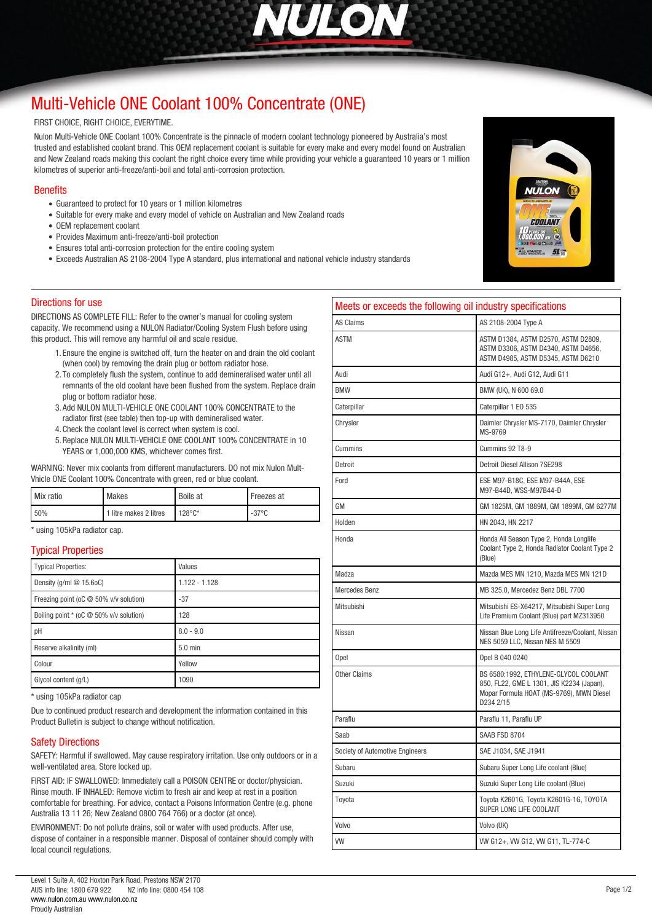

# *[Multi-Vehicle ONE Coolant 100% Concentrate \(ONE\)](http://www.nulon.com.au)*

#### *FIRST CHOICE, RIGHT CHOICE, EVERYTIME.*

*Nulon Multi-Vehicle ONE Coolant 100% Concentrate is the pinnacle of modern coolant technology pioneered by Australia's most trusted and established coolant brand. This OEM replacement coolant is suitable for every make and every model found on Australian and New Zealand roads making this coolant the right choice every time while providing your vehicle a guaranteed 10 years or 1 million kilometres of superior anti-freeze/anti-boil and total anti-corrosion protection.* 

#### *Benefits*

- *Guaranteed to protect for 10 years or 1 million kilometres*
- *Suitable for every make and every model of vehicle on Australian and New Zealand roads*
- *OEM replacement coolant*
- *Provides Maximum anti-freeze/anti-boil protection*
- *Ensures total anti-corrosion protection for the entire cooling system*
- *Exceeds Australian AS 2108-2004 Type A standard, plus international and national vehicle industry standards*

#### *Directions for use*

*DIRECTIONS AS COMPLETE FILL: Refer to the owner's manual for cooling system capacity. We recommend using a NULON Radiator/Cooling System Flush before using this product. This will remove any harmful oil and scale residue.* 

- *1. Ensure the engine is switched off, turn the heater on and drain the old coolant (when cool) by removing the drain plug or bottom radiator hose.*
- *2. To completely flush the system, continue to add demineralised water until all remnants of the old coolant have been flushed from the system. Replace drain plug or bottom radiator hose.*
- *3. Add NULON MULTI-VEHICLE ONE COOLANT 100% CONCENTRATE to the radiator first (see table) then top-up with demineralised water.*
- *4.Check the coolant level is correct when system is cool.*
- *5.Replace NULON MULTI-VEHICLE ONE COOLANT 100% CONCENTRATE in 10 YEARS or 1,000,000 KMS, whichever comes first.*

*WARNING: Never mix coolants from different manufacturers. DO not mix Nulon Mult-Vhicle ONE Coolant 100% Concentrate with green, red or blue coolant.*

| Mix ratio | <b>Makes</b>           | <b>Boils at</b>  | Freezes at      |
|-----------|------------------------|------------------|-----------------|
| 50%       | 1 litre makes 2 litres | $128^{\circ}$ C* | $-37^{\circ}$ C |

*\* using 105kPa radiator cap.*

#### *Typical Properties*

| <b>Typical Properties:</b>                              | Values          |
|---------------------------------------------------------|-----------------|
| Density (g/ml @ 15.6oC)                                 | $1.122 - 1.128$ |
| Freezing point (oC @ 50% v/v solution)                  | $-37$           |
| Boiling point $*(oC \otimes 50\% \text{ v/v}$ solution) | 128             |
| pH                                                      | $8.0 - 9.0$     |
| Reserve alkalinity (ml)                                 | 5.0 min         |
| Colour                                                  | Yellow          |
| Glycol content (g/L)                                    | 1090            |

*\* using 105kPa radiator cap*

*Due to continued product research and development the information contained in this Product Bulletin is subject to change without notification.*

### *Safety Directions*

*SAFETY: Harmful if swallowed. May cause respiratory irritation. Use only outdoors or in a well-ventilated area. Store locked up.*

*FIRST AID: IF SWALLOWED: Immediately call a POISON CENTRE or doctor/physician. Rinse mouth. IF INHALED: Remove victim to fresh air and keep at rest in a position comfortable for breathing. For advice, contact a Poisons Information Centre (e.g. phone Australia 13 11 26; New Zealand 0800 764 766) or a doctor (at once).*

*ENVIRONMENT: Do not pollute drains, soil or water with used products. After use, dispose of container in a responsible manner. Disposal of container should comply with local council regulations.*

| Meets or exceeds the following oil industry specifications |                                                                                                                                             |  |  |
|------------------------------------------------------------|---------------------------------------------------------------------------------------------------------------------------------------------|--|--|
| <b>AS Claims</b>                                           | AS 2108-2004 Type A                                                                                                                         |  |  |
| <b>ASTM</b>                                                | ASTM D1384, ASTM D2570, ASTM D2809,<br>ASTM D3306, ASTM D4340, ASTM D4656,<br>ASTM D4985, ASTM D5345, ASTM D6210                            |  |  |
| Audi                                                       | Audi G12+, Audi G12, Audi G11                                                                                                               |  |  |
| <b>BMW</b>                                                 | BMW (UK), N 600 69.0                                                                                                                        |  |  |
| Caterpillar                                                | Caterpillar 1 EO 535                                                                                                                        |  |  |
| Chrysler                                                   | Daimler Chrysler MS-7170, Daimler Chrysler<br>MS-9769                                                                                       |  |  |
| Cummins                                                    | Cummins 92 T8-9                                                                                                                             |  |  |
| Detroit                                                    | Detroit Diesel Allison 7SE298                                                                                                               |  |  |
| Ford                                                       | ESE M97-B18C, ESE M97-B44A, ESE<br>M97-B44D, WSS-M97B44-D                                                                                   |  |  |
| GM                                                         | GM 1825M, GM 1889M, GM 1899M, GM 6277M                                                                                                      |  |  |
| Holden                                                     | HN 2043, HN 2217                                                                                                                            |  |  |
| Honda                                                      | Honda All Season Type 2, Honda Longlife<br>Coolant Type 2, Honda Radiator Coolant Type 2<br>(Blue)                                          |  |  |
| Madza                                                      | Mazda MES MN 1210, Mazda MES MN 121D                                                                                                        |  |  |
| <b>Mercedes Benz</b>                                       | MB 325.0, Mercedez Benz DBL 7700                                                                                                            |  |  |
| Mitsubishi                                                 | Mitsubishi ES-X64217, Mitsubishi Super Long<br>Life Premium Coolant (Blue) part MZ313950                                                    |  |  |
| Nissan                                                     | Nissan Blue Long Life Antifreeze/Coolant, Nissan<br>NES 5059 LLC, Nissan NES M 5509                                                         |  |  |
| Opel                                                       | Opel B 040 0240                                                                                                                             |  |  |
| <b>Other Claims</b>                                        | BS 6580:1992, ETHYLENE-GLYCOL COOLANT<br>850, FL22, GME L 1301, JIS K2234 (Japan),<br>Mopar Formula HOAT (MS-9769), MWN Diesel<br>D234 2/15 |  |  |
| Paraflu                                                    | Paraflu 11, Paraflu UP                                                                                                                      |  |  |
| Saab                                                       | SAAB FSD 8704                                                                                                                               |  |  |
| Society of Automotive Engineers                            | SAE J1034, SAE J1941                                                                                                                        |  |  |
| Subaru                                                     | Subaru Super Long Life coolant (Blue)                                                                                                       |  |  |
| Suzuki                                                     | Suzuki Super Long Life coolant (Blue)                                                                                                       |  |  |
| Toyota                                                     | Toyota K2601G, Toyota K2601G-1G, TOYOTA<br>SUPER LONG LIFE COOLANT                                                                          |  |  |
| Volvo                                                      | Volvo (UK)                                                                                                                                  |  |  |
| <b>VW</b>                                                  | VW G12+, VW G12, VW G11, TL-774-C                                                                                                           |  |  |